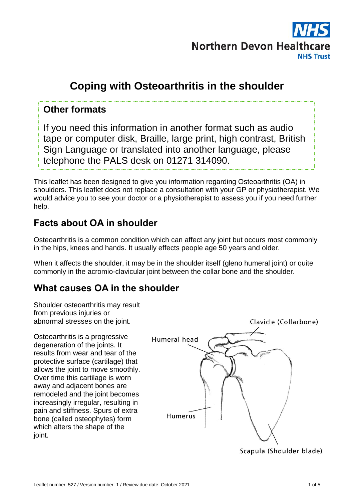

# **Coping with Osteoarthritis in the shoulder**

### **Other formats**

If you need this information in another format such as audio tape or computer disk, Braille, large print, high contrast, British Sign Language or translated into another language, please telephone the PALS desk on 01271 314090.

This leaflet has been designed to give you information regarding Osteoarthritis (OA) in shoulders. This leaflet does not replace a consultation with your GP or physiotherapist. We would advice you to see your doctor or a physiotherapist to assess you if you need further help.

# **Facts about OA in shoulder**

Osteoarthritis is a common condition which can affect any joint but occurs most commonly in the hips, knees and hands. It usually effects people age 50 years and older.

When it affects the shoulder, it may be in the shoulder itself (gleno humeral joint) or quite commonly in the acromio-clavicular joint between the collar bone and the shoulder.

## **What causes OA in the shoulder**

Shoulder osteoarthritis may result from previous injuries or abnormal stresses on the joint.

Osteoarthritis is a progressive degeneration of the joints. It results from wear and tear of the protective surface (cartilage) that allows the joint to move smoothly. Over time this cartilage is worn away and adjacent bones are remodeled and the joint becomes increasingly irregular, resulting in pain and stiffness. Spurs of extra bone (called osteophytes) form which alters the shape of the joint.

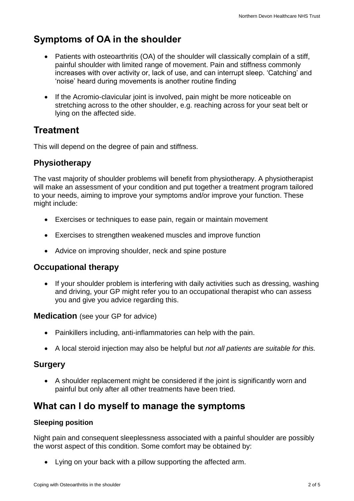# **Symptoms of OA in the shoulder**

- Patients with osteoarthritis (OA) of the shoulder will classically complain of a stiff, painful shoulder with limited range of movement. Pain and stiffness commonly increases with over activity or, lack of use, and can interrupt sleep. 'Catching' and 'noise' heard during movements is another routine finding
- If the Acromio-clavicular joint is involved, pain might be more noticeable on stretching across to the other shoulder, e.g. reaching across for your seat belt or lying on the affected side.

# **Treatment**

This will depend on the degree of pain and stiffness.

### **Physiotherapy**

The vast majority of shoulder problems will benefit from physiotherapy. A physiotherapist will make an assessment of your condition and put together a treatment program tailored to your needs, aiming to improve your symptoms and/or improve your function. These might include:

- Exercises or techniques to ease pain, regain or maintain movement
- Exercises to strengthen weakened muscles and improve function
- Advice on improving shoulder, neck and spine posture

### **Occupational therapy**

• If your shoulder problem is interfering with daily activities such as dressing, washing and driving, your GP might refer you to an occupational therapist who can assess you and give you advice regarding this.

### **Medication** (see your GP for advice)

- Painkillers including, anti-inflammatories can help with the pain.
- A local steroid injection may also be helpful but *not all patients are suitable for this.*

### **Surgery**

 A shoulder replacement might be considered if the joint is significantly worn and painful but only after all other treatments have been tried.

## **What can I do myself to manage the symptoms**

#### **Sleeping position**

Night pain and consequent sleeplessness associated with a painful shoulder are possibly the worst aspect of this condition. Some comfort may be obtained by:

Lying on your back with a pillow supporting the affected arm.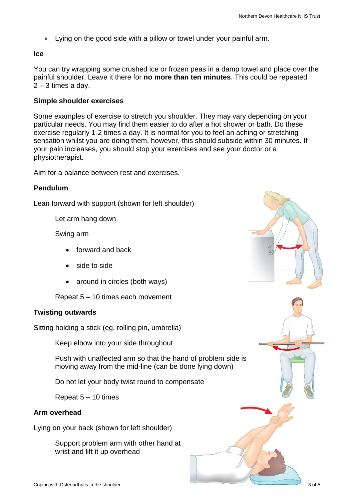Lying on the good side with a pillow or towel under your painful arm.

#### **Ice**

You can try wrapping some crushed ice or frozen peas in a damp towel and place over the painful shoulder. Leave it there for **no more than ten minutes**. This could be repeated  $2 - 3$  times a day.

#### **Simple shoulder exercises**

Some examples of exercise to stretch you shoulder. They may vary depending on your particular needs. You may find them easier to do after a hot shower or bath. Do these exercise regularly 1-2 times a day. It is normal for you to feel an aching or stretching sensation whilst you are doing them, however, this should subside within 30 minutes. If your pain increases, you should stop your exercises and see your doctor or a physiotherapist.

Aim for a balance between rest and exercises.

#### **Pendulum**

Lean forward with support (shown for left shoulder)

Let arm hang down

Swing arm

- forward and back
- side to side
- around in circles (both ways)

Repeat 5 – 10 times each movement

#### **Twisting outwards**

Sitting holding a stick (eg. rolling pin, umbrella)

Keep elbow into your side throughout

Push with unaffected arm so that the hand of problem side is moving away from the mid-line (can be done lying down)

Do not let your body twist round to compensate

Repeat 5 – 10 times

#### **Arm overhead**

Lying on your back (shown for left shoulder)

Support problem arm with other hand at wrist and lift it up overhead

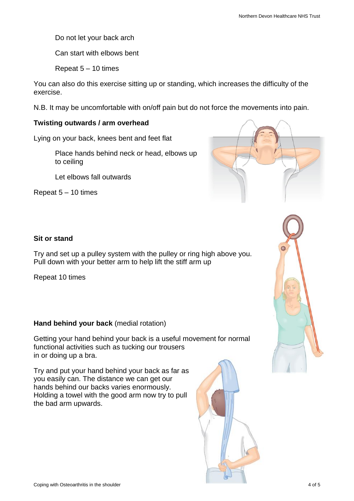Do not let your back arch

Can start with elbows bent

Repeat 5 – 10 times

You can also do this exercise sitting up or standing, which increases the difficulty of the exercise.

N.B. It may be uncomfortable with on/off pain but do not force the movements into pain.

#### **Twisting outwards / arm overhead**

Lying on your back, knees bent and feet flat

Place hands behind neck or head, elbows up to ceiling

Let elbows fall outwards

Repeat 5 – 10 times



### **Sit or stand**

Try and set up a pulley system with the pulley or ring high above you. Pull down with your better arm to help lift the stiff arm up

Repeat 10 times

#### **Hand behind your back** (medial rotation)

Getting your hand behind your back is a useful movement for normal functional activities such as tucking our trousers in or doing up a bra.

Try and put your hand behind your back as far as you easily can. The distance we can get our hands behind our backs varies enormously. Holding a towel with the good arm now try to pull the bad arm upwards.